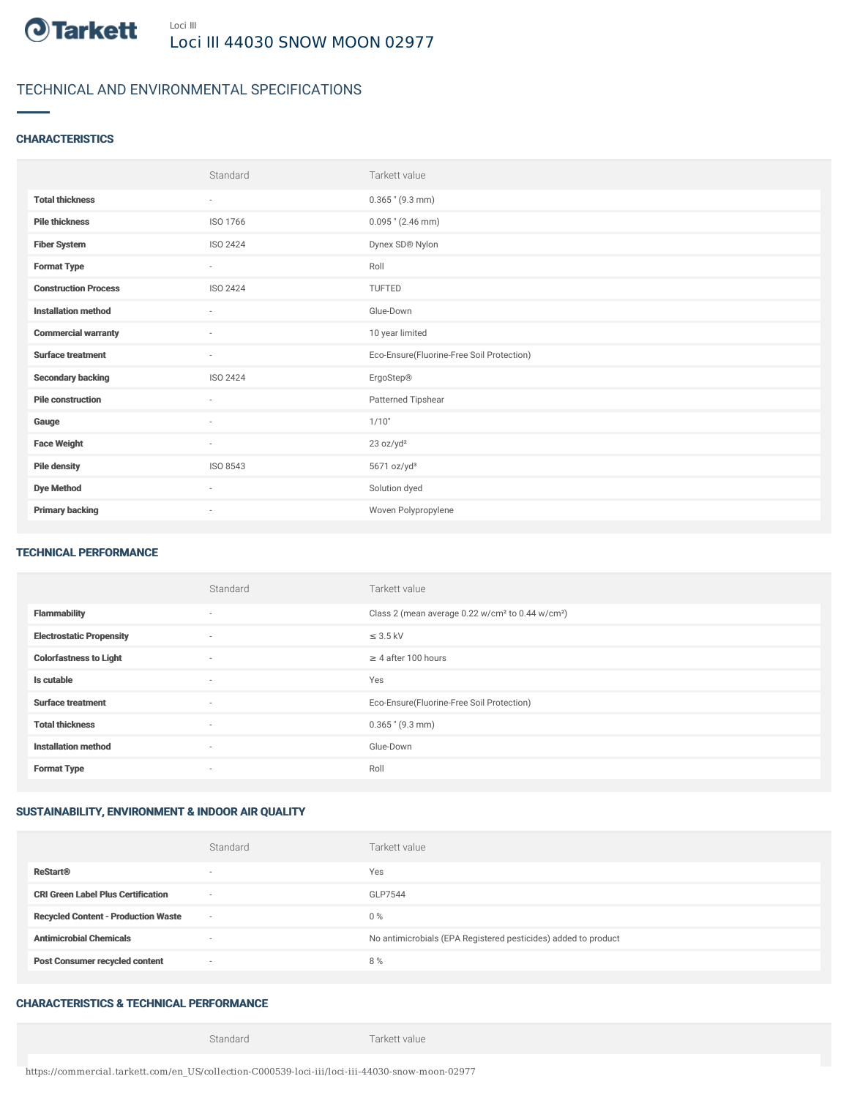

# TECHNICAL AND ENVIRONMENTAL SPECIFICATIONS

### **CHARACTERISTICS**

|                             | Standard                 | Tarkett value                             |
|-----------------------------|--------------------------|-------------------------------------------|
| <b>Total thickness</b>      | $\sim$                   | $0.365$ " (9.3 mm)                        |
| <b>Pile thickness</b>       | ISO 1766                 | $0.095$ " (2.46 mm)                       |
| <b>Fiber System</b>         | ISO 2424                 | Dynex SD® Nylon                           |
| <b>Format Type</b>          | $\sim$                   | Roll                                      |
| <b>Construction Process</b> | ISO 2424                 | <b>TUFTED</b>                             |
| <b>Installation method</b>  | $\sim$                   | Glue-Down                                 |
| <b>Commercial warranty</b>  | ٠                        | 10 year limited                           |
| <b>Surface treatment</b>    | $\sim$                   | Eco-Ensure(Fluorine-Free Soil Protection) |
| <b>Secondary backing</b>    | ISO 2424                 | ErgoStep®                                 |
| <b>Pile construction</b>    | $\sim$                   | Patterned Tipshear                        |
| Gauge                       | ä,                       | 1/10"                                     |
| <b>Face Weight</b>          | $\overline{\phantom{a}}$ | 23 oz/yd <sup>2</sup>                     |
| <b>Pile density</b>         | ISO 8543                 | 5671 oz/yd <sup>3</sup>                   |
| <b>Dye Method</b>           | $\sim$                   | Solution dyed                             |
| <b>Primary backing</b>      | $\overline{\phantom{a}}$ | Woven Polypropylene                       |

#### TECHNICAL PERFORMANCE

|                                 | Standard                 | Tarkett value                                                            |
|---------------------------------|--------------------------|--------------------------------------------------------------------------|
| <b>Flammability</b>             | $\overline{\phantom{a}}$ | Class 2 (mean average 0.22 w/cm <sup>2</sup> to 0.44 w/cm <sup>2</sup> ) |
| <b>Electrostatic Propensity</b> | $\overline{\phantom{a}}$ | $\leq$ 3.5 kV                                                            |
| <b>Colorfastness to Light</b>   | $\overline{\phantom{a}}$ | $\geq 4$ after 100 hours                                                 |
| Is cutable                      | $\overline{\phantom{a}}$ | Yes                                                                      |
| <b>Surface treatment</b>        | $\overline{\phantom{a}}$ | Eco-Ensure(Fluorine-Free Soil Protection)                                |
| <b>Total thickness</b>          | $\overline{\phantom{a}}$ | $0.365$ " (9.3 mm)                                                       |
| <b>Installation method</b>      | $\overline{\phantom{a}}$ | Glue-Down                                                                |
| <b>Format Type</b>              | $\overline{\phantom{a}}$ | Roll                                                                     |

### SUSTAINABILITY, ENVIRONMENT & INDOOR AIR QUALITY

|                                            | Standard                 | Tarkett value                                                  |
|--------------------------------------------|--------------------------|----------------------------------------------------------------|
| <b>ReStart®</b>                            | $\overline{\phantom{a}}$ | Yes                                                            |
| <b>CRI Green Label Plus Certification</b>  | $\sim$                   | GLP7544                                                        |
| <b>Recycled Content - Production Waste</b> | $\sim$                   | $0\%$                                                          |
| <b>Antimicrobial Chemicals</b>             |                          | No antimicrobials (EPA Registered pesticides) added to product |
| <b>Post Consumer recycled content</b>      | $\sim$                   | 8%                                                             |

## CHARACTERISTICS & TECHNICAL PERFORMANCE

Standard Tarkett value